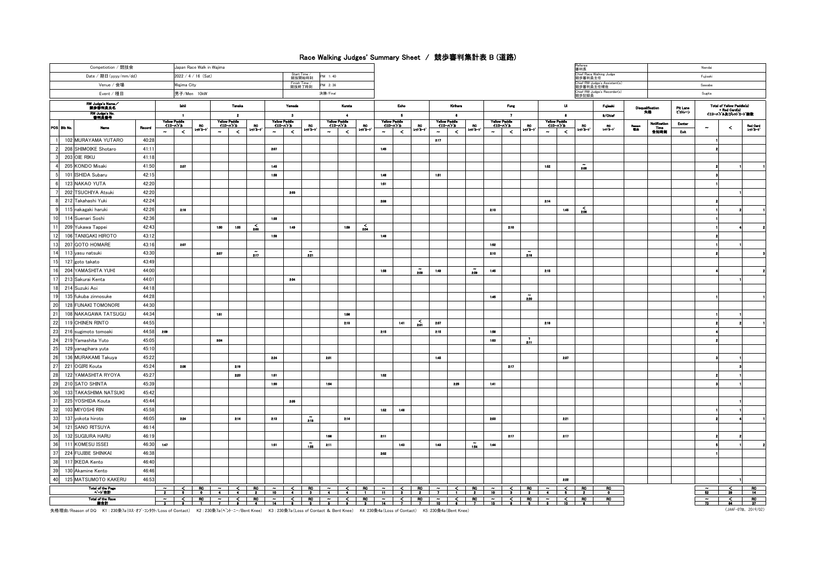## Race Walking Judges' Summary Sheet / 競歩審判集計表 B (道路)

| Competiotion / 競技会<br>Japan Race Walk in Wajima  |                |                         |                         |                     |                                               |                                    |                          |                         |                                           |                      |                                                    |                                 |                    |                              |                                           |                          |                                         |                     |                          |                                       |                       |           |                                                  | Referee<br>審判長<br>Chief Race Walking Judge |                        |                    |                                  | Nendai         |                                                     |                |                      |  |
|--------------------------------------------------|----------------|-------------------------|-------------------------|---------------------|-----------------------------------------------|------------------------------------|--------------------------|-------------------------|-------------------------------------------|----------------------|----------------------------------------------------|---------------------------------|--------------------|------------------------------|-------------------------------------------|--------------------------|-----------------------------------------|---------------------|--------------------------|---------------------------------------|-----------------------|-----------|--------------------------------------------------|--------------------------------------------|------------------------|--------------------|----------------------------------|----------------|-----------------------------------------------------|----------------|----------------------|--|
| Date / 期日(yyyy/mm/dd)<br>2022 / 4 / 16 (Sat)     |                |                         |                         |                     |                                               |                                    |                          |                         | <b>Start Time</b>                         | 競技開始時刻               | PM 1:40                                            |                                 |                    |                              |                                           |                          |                                         |                     |                          |                                       |                       |           |                                                  | 競歩審判員主任                                    |                        |                    |                                  |                | Fujisaki                                            |                |                      |  |
| Venue / 会場<br>Wajima City                        |                |                         |                         |                     |                                               | Finish Time /<br>競技終了時刻<br>PM 2:36 |                          |                         |                                           |                      |                                                    |                                 |                    |                              |                                           |                          |                                         |                     |                          |                                       |                       |           | 競歩審判員主任補佐                                        | hief RW Judge's Assistant(s)               |                        | Sawahe             |                                  |                |                                                     |                |                      |  |
| Event / 種目<br>男子/Men 10kW                        |                |                         |                         |                     |                                               |                                    |                          |                         |                                           |                      | 決勝/Final                                           |                                 |                    |                              |                                           |                          |                                         |                     |                          |                                       |                       |           |                                                  | Chief RW Judge's Recorder(s)<br>競歩記録員      |                        |                    |                                  |                |                                                     |                |                      |  |
| RW Judge's Name                                  |                | lshii                   |                         |                     | Tanaka                                        |                                    |                          | Yamada                  |                                           | Kurata               | Eoho                                               |                                 |                    | Krihere                      |                                           |                          |                                         | Fung                |                          |                                       | Ui.                   |           | Fujisaki                                         |                                            | Disqualification<br>失格 | Pit Lane<br>ビットレーン | <b>Total of Yellow Paddle(s)</b> |                |                                                     |                |                      |  |
| RW Judge's No.<br>審判員番号                          |                | $\blacksquare$          |                         |                     | $\overline{\mathbf{2}}$                       |                                    |                          | $\overline{\mathbf{3}}$ |                                           |                      | $\cdot$                                            | $\overline{5}$<br>Yellow Paddle |                    |                              | $\bullet$                                 |                          |                                         |                     | $\overline{\phantom{a}}$ |                                       |                       | $\bullet$ |                                                  | 9/Chief                                    |                        |                    |                                  |                | - Red Card(s)<br>- Red Card(s)<br>イエローハトル及びレットカート線数 |                |                      |  |
| POS Bib No.<br>Name                              | Rocord         | $410 - n + 1$<br>$\sim$ | Yellow Paddle<br>$\leq$ | RC.<br>$19 + 3 - 1$ | <b>Yellow Paddle</b><br>$111 - 111$<br>$\sim$ | $\prec$                            | <b>RC</b><br>$1 - 1 - 1$ | $\sim$                  | Yellow Paddie<br>$110 - n + h$<br>$\prec$ | BO.<br>いドード          | Yellow Paddle<br>$420 - n + 1$<br>$\sim$<br>$\leq$ | BO.<br>$-1 - 1$                 | $\sim$             | $420 - n + 1$<br>$\leq$      | $M + 1$                                   | $\sim$                   | Yellow Paddle<br>$(10 - n)^2$<br>$\leq$ | <b>RC</b><br>en ä−r | $\sim$                   | Yellow Paddle<br>$(10 - n)$<br>$\leq$ | BO.<br>$191.3 - 1$    | $\sim$    | <b>Yellow Paddie</b><br>$410 - n + h$<br>$\prec$ | BO <sub>1</sub><br>$10 + 1 - 1$            | $-10$                  | Reseon<br>Till de  | Notificatio<br>Time<br>告知時刻      | Eenter<br>Exit |                                                     | $\hat{}$       | Red Card<br>I-sh'a-h |  |
| 102 MURAYAMA YUTARO                              | 40:28          |                         |                         |                     |                                               |                                    |                          |                         |                                           |                      |                                                    |                                 |                    |                              |                                           | 2:17                     |                                         |                     |                          |                                       |                       |           |                                                  |                                            |                        |                    |                                  |                |                                                     |                |                      |  |
| 208 SHIMOIKE Shotaro<br>$\overline{2}$           | 41:11          |                         |                         |                     |                                               |                                    |                          | 2.07                    |                                           |                      |                                                    |                                 | 1:45               |                              |                                           |                          |                                         |                     |                          |                                       |                       |           |                                                  |                                            |                        |                    |                                  |                |                                                     |                |                      |  |
| 203 OIE RIKU                                     | 41:18          |                         |                         |                     |                                               |                                    |                          |                         |                                           |                      |                                                    |                                 |                    |                              |                                           |                          |                                         |                     |                          |                                       |                       |           |                                                  |                                            |                        |                    |                                  |                |                                                     |                |                      |  |
| 205 KONDO Misaki                                 | 41:50          |                         | 2:07                    |                     |                                               |                                    |                          | 1:45                    |                                           |                      |                                                    |                                 |                    |                              |                                           |                          |                                         |                     |                          |                                       |                       | 1:52      |                                                  | $\tilde{206}$                              |                        |                    |                                  |                |                                                     |                |                      |  |
| 5<br>101 ISHIDA Subaru                           | 42:15          |                         |                         |                     |                                               |                                    |                          | 1:58                    |                                           |                      |                                                    |                                 | 1:46               |                              |                                           | 1.51                     |                                         |                     |                          |                                       |                       |           |                                                  |                                            |                        |                    |                                  |                |                                                     |                |                      |  |
| 123 NAKAO YUTA<br>6                              | 42:20          |                         |                         |                     |                                               |                                    |                          |                         |                                           |                      |                                                    |                                 | 1:51               |                              |                                           |                          |                                         |                     |                          |                                       |                       |           |                                                  |                                            |                        |                    |                                  |                |                                                     |                |                      |  |
| 202 TSUCHIYA Atsuki                              | 42:20          |                         |                         |                     |                                               |                                    |                          |                         | 2:03                                      |                      |                                                    |                                 |                    |                              |                                           |                          |                                         |                     |                          |                                       |                       |           |                                                  |                                            |                        |                    |                                  |                |                                                     |                |                      |  |
| 212 Takahashi Yuki<br><b>R</b>                   | 42:24          |                         |                         |                     |                                               |                                    |                          |                         |                                           |                      |                                                    |                                 | 2:08               |                              |                                           |                          |                                         |                     |                          |                                       |                       | 2:14      |                                                  |                                            |                        |                    |                                  |                |                                                     |                |                      |  |
| 9 <sup>1</sup><br>115 nakagaki haruki            | 42:26          |                         | 2:16                    |                     |                                               |                                    |                          |                         |                                           |                      |                                                    |                                 |                    |                              |                                           |                          |                                         |                     | 2:10                     |                                       |                       |           | 1,45                                             | ÷ື້                                        |                        |                    |                                  |                |                                                     |                |                      |  |
| 10<br>114 Suenari Soshi                          | 42:36          |                         |                         |                     |                                               |                                    |                          | 1:58                    |                                           |                      |                                                    |                                 |                    |                              |                                           |                          |                                         |                     |                          |                                       |                       |           |                                                  |                                            |                        |                    |                                  |                |                                                     |                |                      |  |
| 11<br>209 Yukawa Tappei                          | 42:43          |                         |                         | 1:50                |                                               | 1:55                               | $\sum_{200}$             |                         | 1:49                                      |                      | 1:59                                               | $\sim$                          |                    |                              |                                           |                          |                                         |                     |                          | 2:10                                  |                       |           |                                                  |                                            |                        |                    |                                  |                |                                                     |                |                      |  |
| 12<br>106 TANIGAKI HIROTO                        | 43:12          |                         |                         |                     |                                               |                                    |                          | 1:58                    |                                           |                      |                                                    |                                 | 1:46               |                              |                                           |                          |                                         |                     |                          |                                       |                       |           |                                                  |                                            |                        |                    |                                  |                |                                                     |                |                      |  |
| 13<br>207 GOTO HOMARE                            | 43:16          |                         | 2:07                    |                     |                                               |                                    |                          |                         |                                           |                      |                                                    |                                 |                    |                              |                                           |                          |                                         |                     | 1:52                     |                                       |                       |           |                                                  |                                            |                        |                    |                                  |                |                                                     |                |                      |  |
| 14<br>113 yasu natsuki                           | 43:30          |                         |                         | 2:07                |                                               |                                    | $\mathbf{z}_{17}$        |                         |                                           | $\tilde{\mathbf{z}}$ |                                                    |                                 |                    |                              |                                           |                          |                                         |                     | 2:10                     |                                       | 2:10                  |           |                                                  |                                            |                        |                    |                                  |                |                                                     |                |                      |  |
| 15<br>127 goto takato                            | 43:49          |                         |                         |                     |                                               |                                    |                          |                         |                                           |                      |                                                    |                                 |                    |                              |                                           |                          |                                         |                     |                          |                                       |                       |           |                                                  |                                            |                        |                    |                                  |                |                                                     |                |                      |  |
| 16<br>204 YAMASHITA YUHI                         | 44:00          |                         |                         |                     |                                               |                                    |                          |                         |                                           |                      |                                                    |                                 | 1:58               |                              | $_{200}^\sim$                             | 1:40                     |                                         | $\tilde{200}$       | 1:45                     |                                       |                       | 2:15      |                                                  |                                            |                        |                    |                                  |                |                                                     |                |                      |  |
| 17<br>213 Sakurai Kenta                          | 44:01          |                         |                         |                     |                                               |                                    |                          |                         | 2:04                                      |                      |                                                    |                                 |                    |                              |                                           |                          |                                         |                     |                          |                                       |                       |           |                                                  |                                            |                        |                    |                                  |                |                                                     |                |                      |  |
| 18<br>214 Suzuki Aoi                             | 44:18          |                         |                         |                     |                                               |                                    |                          |                         |                                           |                      |                                                    |                                 |                    |                              |                                           |                          |                                         |                     |                          |                                       |                       |           |                                                  |                                            |                        |                    |                                  |                |                                                     |                |                      |  |
| 19<br>135 fukuba zinnosuke                       | 44:28          |                         |                         |                     |                                               |                                    |                          |                         |                                           |                      |                                                    |                                 |                    |                              |                                           |                          |                                         |                     | 1:45                     |                                       | $\frac{\gamma}{2.20}$ |           |                                                  |                                            |                        |                    |                                  |                |                                                     |                |                      |  |
| 20<br><b>128 FUNAKI TOMONORI</b>                 | 44:30          |                         |                         |                     |                                               |                                    |                          |                         |                                           |                      |                                                    |                                 |                    |                              |                                           |                          |                                         |                     |                          |                                       |                       |           |                                                  |                                            |                        |                    |                                  |                |                                                     |                |                      |  |
| 21<br>108 NAKAGAWA TATSUGU                       | 44:34          |                         |                         | 1:51                |                                               |                                    |                          |                         |                                           |                      | 1:58                                               |                                 |                    |                              |                                           |                          |                                         |                     |                          |                                       |                       |           |                                                  |                                            |                        |                    |                                  |                |                                                     |                |                      |  |
| 22<br>119 CHINEN RINTO                           | 44:55          |                         |                         |                     |                                               |                                    |                          |                         |                                           |                      | 2:10                                               |                                 |                    | 1:41                         | $\sum_{201}$                              | 2:07                     |                                         |                     |                          |                                       |                       | 2:16      |                                                  |                                            |                        |                    |                                  |                |                                                     |                |                      |  |
| 23<br>216 sugimoto tomoaki                       | 44:58          | 2:09                    |                         |                     |                                               |                                    |                          |                         |                                           |                      |                                                    |                                 | 2:15               |                              |                                           | 2:15                     |                                         |                     | 1:58                     |                                       |                       |           |                                                  |                                            |                        |                    |                                  |                |                                                     |                |                      |  |
| 24<br>219 Yamashita Yuto                         | 45:05          |                         |                         | 2:04                |                                               |                                    |                          |                         |                                           |                      |                                                    |                                 |                    |                              |                                           |                          |                                         |                     | 1:53                     |                                       | $\frac{1}{211}$       |           |                                                  |                                            |                        |                    |                                  |                |                                                     |                |                      |  |
| 25<br>129 yanagihara yuta                        | 45:10          |                         |                         |                     |                                               |                                    |                          |                         |                                           |                      |                                                    |                                 |                    |                              |                                           |                          |                                         |                     |                          |                                       |                       |           |                                                  |                                            |                        |                    |                                  |                |                                                     |                |                      |  |
| 26<br>136 MURAKAMI Takuya                        | 45:22          |                         |                         |                     |                                               |                                    |                          | 224                     |                                           |                      | 2:01                                               |                                 |                    |                              |                                           | 1:45                     |                                         |                     |                          |                                       |                       |           | 2:07                                             |                                            |                        |                    |                                  |                |                                                     |                |                      |  |
| 27<br>221 OGIRI Kouta<br>28                      | 45:24<br>45:27 |                         | 2:05                    |                     |                                               | 2:19                               |                          |                         |                                           |                      |                                                    |                                 |                    |                              |                                           |                          |                                         |                     |                          | 217                                   |                       |           |                                                  |                                            |                        |                    |                                  |                |                                                     |                |                      |  |
| 122 YAMASHITA RYOYA                              |                |                         |                         |                     |                                               | 2.23                               |                          | 151                     |                                           |                      |                                                    |                                 | 1.62               |                              |                                           |                          |                                         |                     |                          |                                       |                       |           |                                                  |                                            |                        |                    |                                  |                |                                                     |                |                      |  |
| 29<br>210 SATO SHINTA<br>30                      | 45:39          |                         |                         |                     |                                               |                                    |                          | 1:50                    |                                           |                      | 154                                                |                                 |                    |                              |                                           |                          | 2:25                                    |                     | 1:41                     |                                       |                       |           |                                                  |                                            |                        |                    |                                  |                |                                                     |                |                      |  |
| 133 TAKASHIMA NATSUKI<br>31<br>225 YOSHIDA Kouta | 45:42<br>45:44 |                         |                         |                     |                                               |                                    |                          |                         | 2.05                                      |                      |                                                    |                                 |                    |                              |                                           |                          |                                         |                     |                          |                                       |                       |           |                                                  |                                            |                        |                    |                                  |                |                                                     |                |                      |  |
| 32<br>103 MIYOSHI RIN                            | 45:58          |                         |                         |                     |                                               |                                    |                          |                         |                                           |                      |                                                    |                                 | 1:52               | 1:48                         |                                           |                          |                                         |                     |                          |                                       |                       |           |                                                  |                                            |                        |                    |                                  |                |                                                     |                |                      |  |
| 33<br>137 yokota hiroto                          | 46:05          |                         | 2:24                    |                     |                                               | 2:14                               |                          | 2:13                    |                                           | 210                  | 2:14                                               |                                 |                    |                              |                                           |                          |                                         |                     | 2:03                     |                                       |                       |           | 2:21                                             |                                            |                        |                    |                                  |                |                                                     |                |                      |  |
| 34<br>121 SANO RITSUYA                           | 46:14          |                         |                         |                     |                                               |                                    |                          |                         |                                           |                      |                                                    |                                 |                    |                              |                                           |                          |                                         |                     |                          |                                       |                       |           |                                                  |                                            |                        |                    |                                  |                |                                                     |                |                      |  |
| 35<br>132 SUGIURA HARU                           | 46:19          |                         |                         |                     |                                               |                                    |                          |                         |                                           |                      | 1:56                                               |                                 | 2:11               |                              |                                           |                          |                                         |                     |                          | 2:17                                  |                       |           | 2:17                                             |                                            |                        |                    |                                  |                |                                                     |                |                      |  |
| 36<br>111 KOMESU ISSEI                           | 46:30          | 1:47                    |                         |                     |                                               |                                    |                          | 1:51                    |                                           | $\tilde{56}$         | 2:11                                               |                                 |                    | 1:43                         |                                           | 1:43                     |                                         | $\tilde{156}$       | 1:44                     |                                       |                       |           |                                                  |                                            |                        |                    |                                  |                |                                                     |                |                      |  |
| 37<br>224 FUJIBE SHINKAI                         | 46:38          |                         |                         |                     |                                               |                                    |                          |                         |                                           |                      |                                                    |                                 | 2.02               |                              |                                           |                          |                                         |                     |                          |                                       |                       |           |                                                  |                                            |                        |                    |                                  |                |                                                     |                |                      |  |
| 38<br>117 IKEDA Kento                            | 46:40          |                         |                         |                     |                                               |                                    |                          |                         |                                           |                      |                                                    |                                 |                    |                              |                                           |                          |                                         |                     |                          |                                       |                       |           |                                                  |                                            |                        |                    |                                  |                |                                                     |                |                      |  |
| 39<br>130 Akamine Kento                          | 46:46          |                         |                         |                     |                                               |                                    |                          |                         |                                           |                      |                                                    |                                 |                    |                              |                                           |                          |                                         |                     |                          |                                       |                       |           |                                                  |                                            |                        |                    |                                  |                |                                                     |                |                      |  |
| 125 MATSUMOTO KAKERU<br>40                       | 46:53          |                         |                         |                     |                                               |                                    |                          |                         |                                           |                      |                                                    |                                 |                    |                              |                                           |                          |                                         |                     |                          |                                       |                       |           | 2:22                                             |                                            |                        |                    |                                  |                |                                                     |                |                      |  |
| <b>Total of the Page</b>                         |                |                         |                         |                     |                                               |                                    |                          |                         |                                           |                      |                                                    | $rac{R_0}{1}$                   |                    | $\frac{a}{11}$ $\frac{5}{3}$ | RO <sub>.</sub>                           |                          |                                         |                     |                          |                                       |                       |           |                                                  |                                            | RO.                    |                    |                                  |                | $\overline{\phantom{a}}$                            | $\frac{2}{28}$ | $rac{RO}{14}$        |  |
| ページ合計<br>Total of the Race                       |                | $\sim$ $\sim$           |                         |                     |                                               |                                    |                          |                         |                                           |                      | $\ddot{\phantom{0}}$<br>$\overline{\phantom{0}}$   | $\overline{R}$                  | $\overline{\cdot}$ |                              | $\overline{\mathbf{r}}$<br>$\overline{R}$ | $\overline{\phantom{a}}$ | $\leq$                                  |                     |                          |                                       |                       |           |                                                  | R <sup>o</sup>                             | $\bullet$<br>RC        |                    |                                  |                | 52                                                  |                |                      |  |
| 総合計                                              |                | $\overline{\mathbf{a}}$ |                         |                     |                                               |                                    |                          |                         |                                           | $rac{RC}{5}$         |                                                    |                                 | 14                 | $\frac{2}{1}$                |                                           | 10                       | $\bullet$ $\bullet$                     |                     |                          |                                       |                       |           | $rac{2}{10}$                                     |                                            |                        |                    |                                  |                | 73                                                  |                | $rac{RO}{37}$        |  |

失格理由/Reason of DQ K1 : 230条7a(ロス・オブ・コンタケト/Loss of Contact) K2 : 230条7a(ベント・ニー/Bent Knee) K3 : 230条7a(Loss of Contact & Bent Knee) K4: 230条4a(Loss of Contact) K5: 230条4a(Bent Knee)

(JAAF-07B. 2019/02)